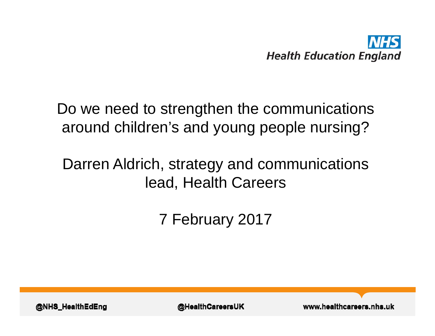

#### Do we need to strengthen the communications around children's and young people nursing?

#### Darren Aldrich, strategy and communications lead, Health Careers

7 February 2017

@NHS\_HealthEdEng

**@HealthCareersUK** 

www.healthcareers.nhs.uk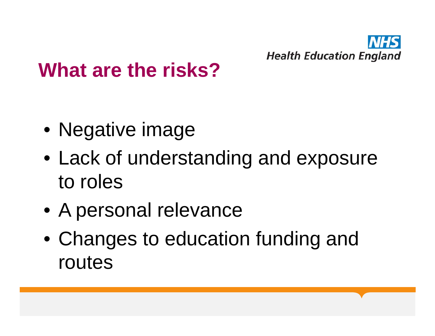

#### **What are the risks?**

- Negative image
- Lack of understanding and exposure to roles
- A personal relevance
- Changes to education funding and routes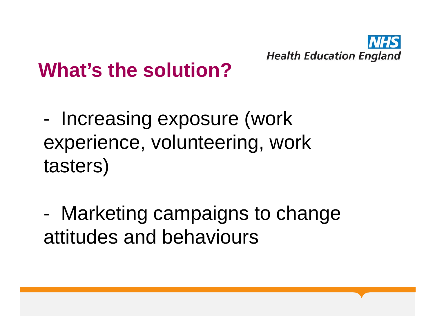

# **What's the solution?**

- Increasing exposure (work experience, volunteering, work tasters)
- - Marketing campaigns to change attitudes and behaviours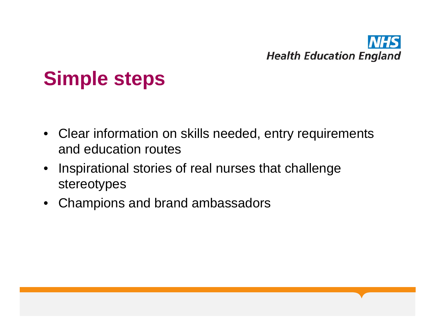

## **Simple steps**

- Clear information on skills needed, entry requirements and education routes
- Inspirational stories of real nurses that challenge stereotypes
- Champions and brand ambassadors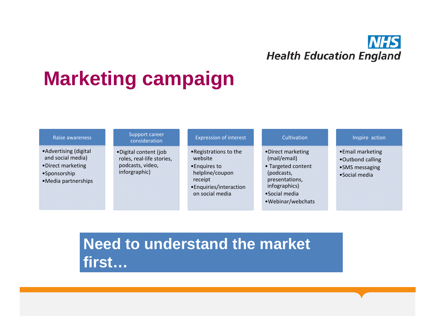

# **Marketing campaign**

| Raise awareness                                                                                         | Support career<br>consideration                                                         | <b>Expression of interest</b>                                                                                                  | Cultivation                                                                                                                                     | Inspire action                                                          |
|---------------------------------------------------------------------------------------------------------|-----------------------------------------------------------------------------------------|--------------------------------------------------------------------------------------------------------------------------------|-------------------------------------------------------------------------------------------------------------------------------------------------|-------------------------------------------------------------------------|
| • Advertising (digital<br>and social media)<br>•Direct marketing<br>•Sponsorship<br>•Media partnerships | •Digital content (job<br>roles, real-life stories,<br>podcasts, video,<br>inforgraphic) | • Registrations to the<br>website<br>• Enquires to<br>helpline/coupon<br>receipt<br>• Enquiries/interaction<br>on social media | •Direct marketing<br>(mail/email)<br>• Targeted content<br>(podcasts,<br>presentations,<br>infographics)<br>•Social media<br>• Webinar/webchats | •Email marketing<br>.Outbond calling<br>•SMS messaging<br>•Social media |

**Need to understand the market first…**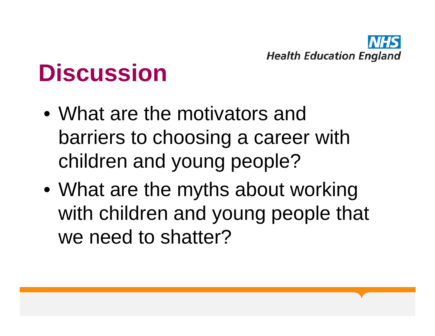

# **Discussion**

- What are the motivators and barriers to choosing a career with children and young people?
- What are the myths about working with children and young people that we need to shatter?